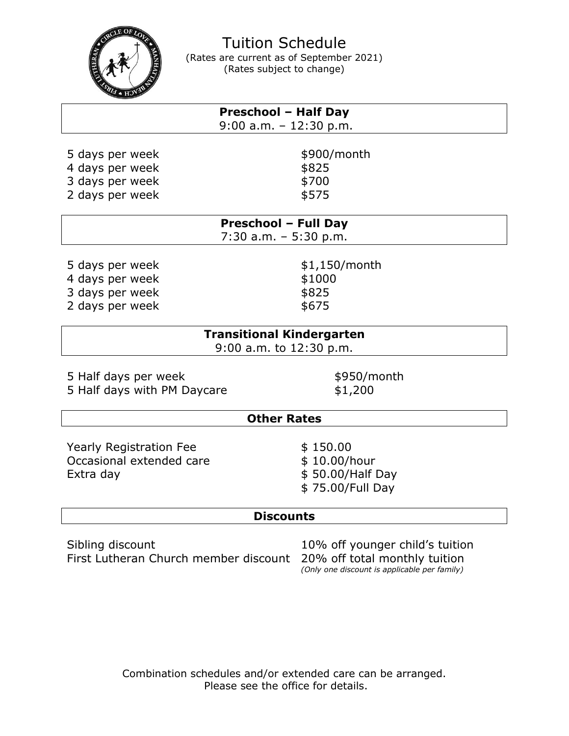

Tuition Schedule (Rates are current as of September 2021) (Rates subject to change)

|                 | <b>Preschool - Half Day</b><br>$9:00$ a.m. - 12:30 p.m. |  |
|-----------------|---------------------------------------------------------|--|
| 5 days per week | \$900/month                                             |  |
| 4 days per week | \$825                                                   |  |
| 3 days per week | \$700                                                   |  |
| 2 days per week | \$575                                                   |  |

|                                    | <b>Preschool - Full Day</b><br>$7:30$ a.m. $-5:30$ p.m. |  |
|------------------------------------|---------------------------------------------------------|--|
| 5 days per week<br>4 days per week | \$1,150/month<br>\$1000                                 |  |

3 days per week  $$825$ 2 days per week  $$675$ 

## **Transitional Kindergarten** 9:00 a.m. to 12:30 p.m.

5 Half days per week  $$950/m$ onth 5 Half days with PM Daycare \$1,200

## **Other Rates**

Yearly Registration Fee  $$ 150.00$ Occasional extended care \$ 10.00/hour Extra day  $$50.00/Half$  Day

\$ 75.00/Full Day

## **Discounts**

Sibling discount 10% off younger child's tuition First Lutheran Church member discount 20% off total monthly tuition

*(Only one discount is applicable per family)*